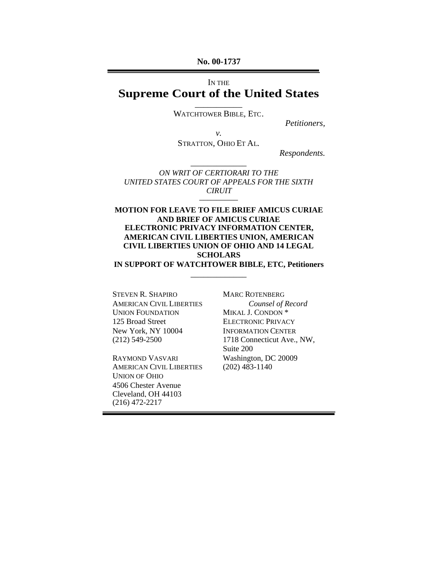**No. 00-1737**

# IN THE **Supreme Court of the United States**

\_\_\_\_\_\_\_\_\_\_\_ WATCHTOWER BIBLE, ETC.

*Petitioners,*

*v.*

STRATTON, OHIO ET AL.

*Respondents.*

*ON WRIT OF CERTIORARI TO THE UNITED STATES COURT OF APPEALS FOR THE SIXTH CIRUIT* –––––––––

\_\_\_\_\_\_\_\_\_\_\_\_\_

**MOTION FOR LEAVE TO FILE BRIEF AMICUS CURIAE AND BRIEF OF AMICUS CURIAE ELECTRONIC PRIVACY INFORMATION CENTER, AMERICAN CIVIL LIBERTIES UNION, AMERICAN CIVIL LIBERTIES UNION OF OHIO AND 14 LEGAL SCHOLARS IN SUPPORT OF WATCHTOWER BIBLE, ETC, Petitioners**

\_\_\_\_\_\_\_\_\_\_\_\_\_

STEVEN R. SHAPIRO AMERICAN CIVIL LIBERTIES UNION FOUNDATION 125 Broad Street New York, NY 10004 (212) 549-2500

RAYMOND VASVARI AMERICAN CIVIL LIBERTIES UNION OF OHIO 4506 Chester Avenue Cleveland, OH 44103 (216) 472-2217

MARC ROTENBERG *Counsel of Record* MIKAL J. CONDON \* ELECTRONIC PRIVACY INFORMATION CENTER 1718 Connecticut Ave., NW, Suite 200 Washington, DC 20009 (202) 483-1140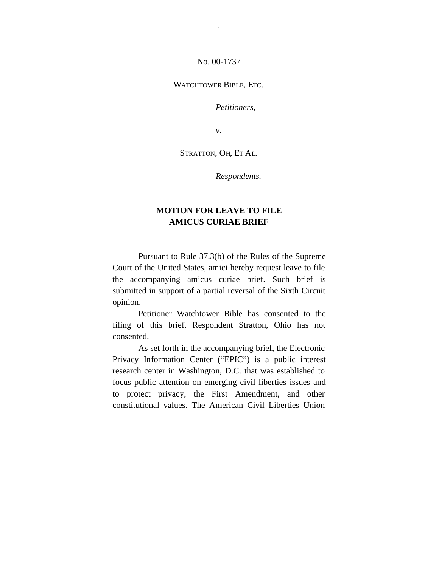No. 00-1737

WATCHTOWER BIBLE, ETC.

*Petitioners,*

*v.*

STRATTON, OH, ET AL.

*Respondents.*

# **MOTION FOR LEAVE TO FILE AMICUS CURIAE BRIEF**

\_\_\_\_\_\_\_\_\_\_\_\_\_

\_\_\_\_\_\_\_\_\_\_\_\_\_

Pursuant to Rule 37.3(b) of the Rules of the Supreme Court of the United States, amici hereby request leave to file the accompanying amicus curiae brief. Such brief is submitted in support of a partial reversal of the Sixth Circuit opinion.

Petitioner Watchtower Bible has consented to the filing of this brief. Respondent Stratton, Ohio has not consented.

As set forth in the accompanying brief, the Electronic Privacy Information Center ("EPIC") is a public interest research center in Washington, D.C. that was established to focus public attention on emerging civil liberties issues and to protect privacy, the First Amendment, and other constitutional values. The American Civil Liberties Union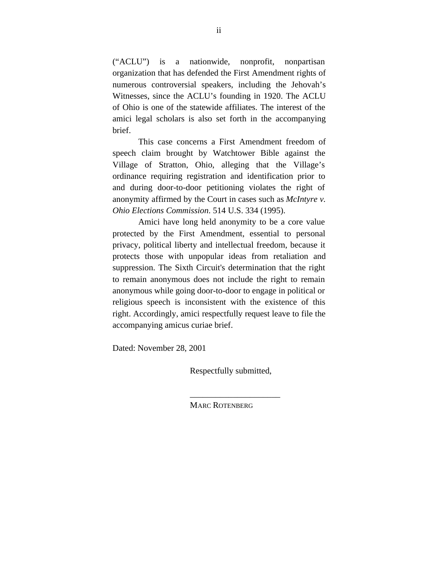("ACLU") is a nationwide, nonprofit, nonpartisan organization that has defended the First Amendment rights of numerous controversial speakers, including the Jehovah's Witnesses, since the ACLU's founding in 1920. The ACLU of Ohio is one of the statewide affiliates. The interest of the amici legal scholars is also set forth in the accompanying brief.

This case concerns a First Amendment freedom of speech claim brought by Watchtower Bible against the Village of Stratton, Ohio, alleging that the Village's ordinance requiring registration and identification prior to and during door-to-door petitioning violates the right of anonymity affirmed by the Court in cases such as *McIntyre v. Ohio Elections Commission*. 514 U.S. 334 (1995).

Amici have long held anonymity to be a core value protected by the First Amendment, essential to personal privacy, political liberty and intellectual freedom, because it protects those with unpopular ideas from retaliation and suppression. The Sixth Circuit's determination that the right to remain anonymous does not include the right to remain anonymous while going door-to-door to engage in political or religious speech is inconsistent with the existence of this right. Accordingly, amici respectfully request leave to file the accompanying amicus curiae brief.

Dated: November 28, 2001

Respectfully submitted,

\_\_\_\_\_\_\_\_\_\_\_\_\_\_\_\_\_\_\_\_\_

MARC ROTENBERG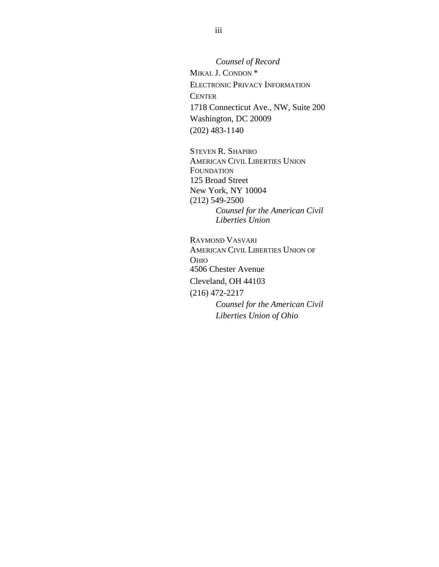*Counsel of Record* MIKAL J. CONDON \* ELECTRONIC PRIVACY INFORMATION **CENTER** 1718 Connecticut Ave., NW, Suite 200 Washington, DC 20009 (202) 483-1140

STEVEN R. SHAPIRO AMERICAN CIVIL LIBERTIES UNION **FOUNDATION** 125 Broad Street New York, NY 10004 (212) 549-2500 *Counsel for the American Civil Liberties Union*

RAYMOND VASVARI AMERICAN CIVIL LIBERTIES UNION OF OHIO 4506 Chester Avenue Cleveland, OH 44103 (216) 472-2217 *Counsel for the American Civil Liberties Union of Ohio*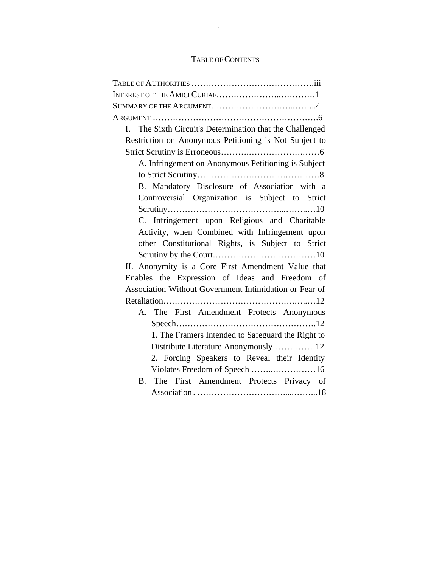# TABLE OF CONTENTS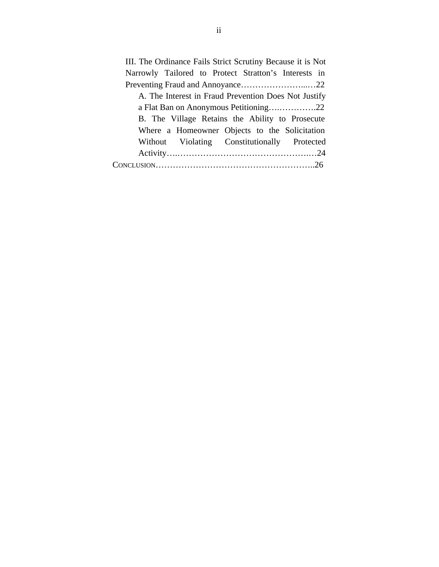III. The Ordinance Fails Strict Scrutiny Because it is Not Narrowly Tailored to Protect Stratton's Interests in Preventing Fraud and Annoyance...............................22 A. The Interest in Fraud Prevention Does Not Justify a Flat Ban on Anonymous Petitioning….………….22 B. The Village Retains the Ability to Prosecute Where a Homeowner Objects to the Solicitation Without Violating Constitutionally Protected Activity….……………………………………….…24 CONCLUSION………………………………………………..26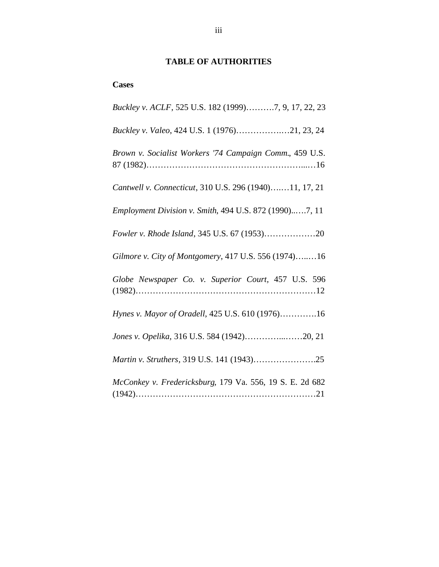# **TABLE OF AUTHORITIES**

### **Cases**

| Buckley v. ACLF, 525 U.S. 182 (1999)7, 9, 17, 22, 23     |
|----------------------------------------------------------|
| Buckley v. Valeo, 424 U.S. 1 (1976)21, 23, 24            |
| Brown v. Socialist Workers '74 Campaign Comm., 459 U.S.  |
| Cantwell v. Connecticut, 310 U.S. 296 (1940)11, 17, 21   |
| Employment Division v. Smith, 494 U.S. 872 (1990)7, 11   |
|                                                          |
| Gilmore v. City of Montgomery, 417 U.S. 556 (1974)16     |
| Globe Newspaper Co. v. Superior Court, 457 U.S. 596      |
| Hynes v. Mayor of Oradell, 425 U.S. 610 (1976)16         |
| Jones v. Opelika, 316 U.S. 584 (1942)20, 21              |
| Martin v. Struthers, 319 U.S. 141 (1943)25               |
| McConkey v. Fredericksburg, 179 Va. 556, 19 S. E. 2d 682 |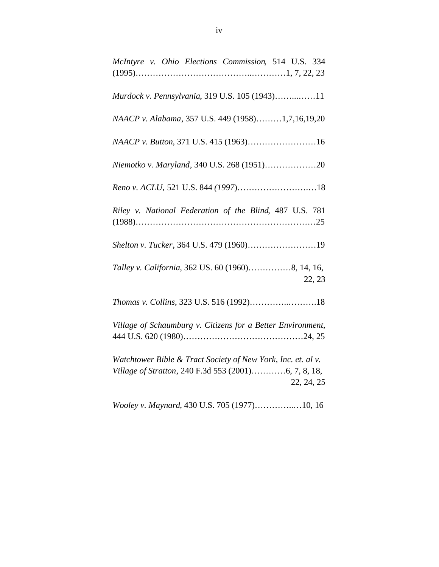| McIntyre v. Ohio Elections Commission, 514 U.S. 334                                                                                |
|------------------------------------------------------------------------------------------------------------------------------------|
| Murdock v. Pennsylvania, 319 U.S. 105 (1943)11                                                                                     |
| NAACP v. Alabama, 357 U.S. 449 (1958)1,7,16,19,20                                                                                  |
| NAACP v. Button, 371 U.S. 415 (1963)16                                                                                             |
| Niemotko v. Maryland, 340 U.S. 268 (1951)20                                                                                        |
|                                                                                                                                    |
| Riley v. National Federation of the Blind, 487 U.S. 781                                                                            |
| Shelton v. Tucker, 364 U.S. 479 (1960)19                                                                                           |
| Talley v. California, 362 US. 60 (1960)8, 14, 16,<br>22, 23                                                                        |
| Thomas v. Collins, 323 U.S. 516 (1992)18                                                                                           |
| Village of Schaumburg v. Citizens for a Better Environment,                                                                        |
| Watchtower Bible & Tract Society of New York, Inc. et. al v.<br>Village of Stratton, 240 F.3d 553 (2001)6, 7, 8, 18,<br>22, 24, 25 |

*Wooley v. Maynard*, 430 U.S. 705 (1977)…………..…10, 16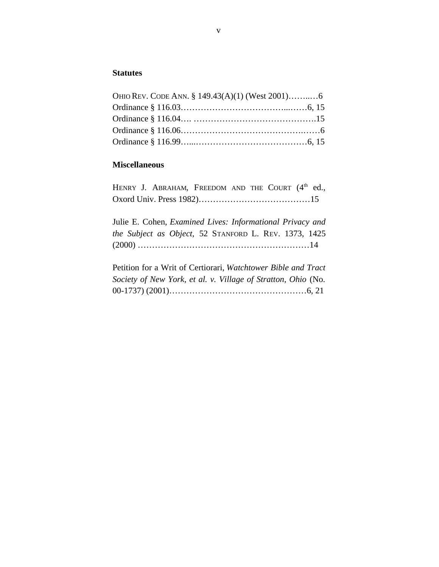## **Statutes**

# **Miscellaneous**

| HENRY J. ABRAHAM, FREEDOM AND THE COURT (4 <sup>th</sup> ed.,    |
|------------------------------------------------------------------|
|                                                                  |
|                                                                  |
| Julie E. Cohen, <i>Examined Lives: Informational Privacy and</i> |
| the Subject as Object, 52 STANFORD L. REV. 1373, 1425            |
|                                                                  |
|                                                                  |
| Petition for a Writ of Certiorari, Watchtower Bible and Tract    |
| Society of New York, et al. v. Village of Stratton, Ohio (No.    |
|                                                                  |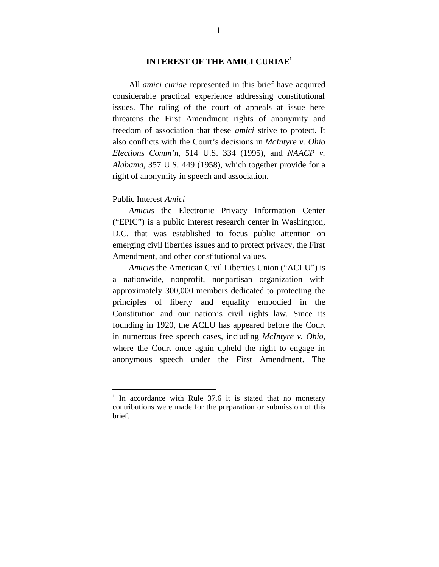### **INTEREST OF THE AMICI CURIAE<sup>1</sup>**

All *amici curiae* represented in this brief have acquired considerable practical experience addressing constitutional issues. The ruling of the court of appeals at issue here threatens the First Amendment rights of anonymity and freedom of association that these *amici* strive to protect. It also conflicts with the Court's decisions in *McIntyre v. Ohio Elections Comm'n*, 514 U.S. 334 (1995), and *NAACP v. Alabama*, 357 U.S. 449 (1958), which together provide for a right of anonymity in speech and association.

### Public Interest *Amici*

1

*Amicus* the Electronic Privacy Information Center ("EPIC") is a public interest research center in Washington, D.C. that was established to focus public attention on emerging civil liberties issues and to protect privacy, the First Amendment, and other constitutional values.

*Amicus* the American Civil Liberties Union ("ACLU") is a nationwide, nonprofit, nonpartisan organization with approximately 300,000 members dedicated to protecting the principles of liberty and equality embodied in the Constitution and our nation's civil rights law. Since its founding in 1920, the ACLU has appeared before the Court in numerous free speech cases, including *McIntyre v. Ohio*, where the Court once again upheld the right to engage in anonymous speech under the First Amendment. The

<sup>&</sup>lt;sup>1</sup> In accordance with Rule 37.6 it is stated that no monetary contributions were made for the preparation or submission of this brief.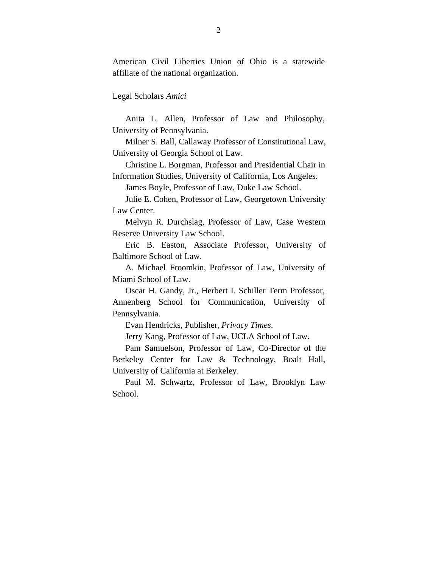American Civil Liberties Union of Ohio is a statewide affiliate of the national organization.

Legal Scholars *Amici*

Anita L. Allen, Professor of Law and Philosophy, University of Pennsylvania.

Milner S. Ball, Callaway Professor of Constitutional Law, University of Georgia School of Law.

Christine L. Borgman, Professor and Presidential Chair in Information Studies, University of California, Los Angeles.

James Boyle, Professor of Law, Duke Law School.

Julie E. Cohen, Professor of Law, Georgetown University Law Center.

Melvyn R. Durchslag, Professor of Law, Case Western Reserve University Law School.

Eric B. Easton, Associate Professor, University of Baltimore School of Law.

A. Michael Froomkin, Professor of Law, University of Miami School of Law.

Oscar H. Gandy, Jr., Herbert I. Schiller Term Professor, Annenberg School for Communication, University of Pennsylvania.

Evan Hendricks, Publisher, *Privacy Times*.

Jerry Kang, Professor of Law, UCLA School of Law.

Pam Samuelson, Professor of Law, Co-Director of the Berkeley Center for Law & Technology, Boalt Hall, University of California at Berkeley.

Paul M. Schwartz, Professor of Law, Brooklyn Law School.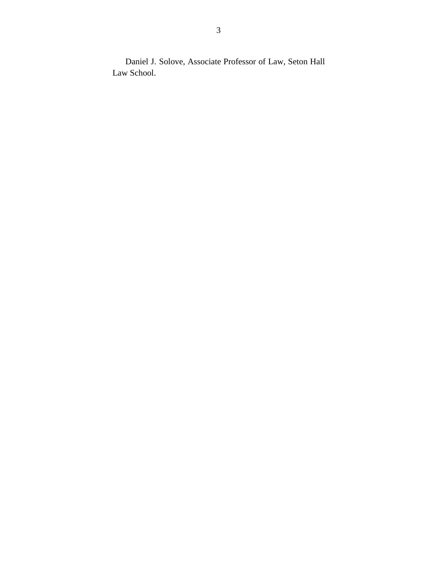Daniel J. Solove, Associate Professor of Law, Seton Hall Law School.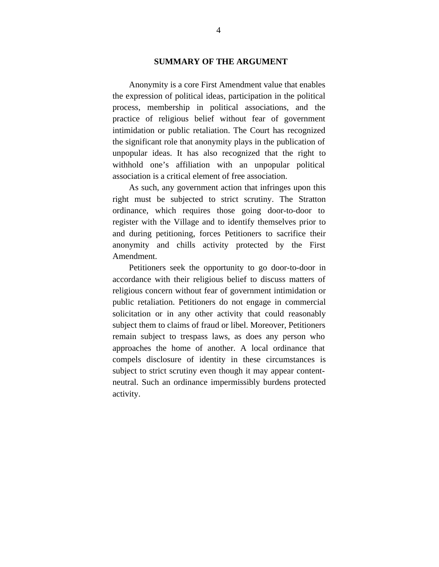### **SUMMARY OF THE ARGUMENT**

Anonymity is a core First Amendment value that enables the expression of political ideas, participation in the political process, membership in political associations, and the practice of religious belief without fear of government intimidation or public retaliation. The Court has recognized the significant role that anonymity plays in the publication of unpopular ideas. It has also recognized that the right to withhold one's affiliation with an unpopular political association is a critical element of free association.

As such, any government action that infringes upon this right must be subjected to strict scrutiny. The Stratton ordinance, which requires those going door-to-door to register with the Village and to identify themselves prior to and during petitioning, forces Petitioners to sacrifice their anonymity and chills activity protected by the First Amendment.

Petitioners seek the opportunity to go door-to-door in accordance with their religious belief to discuss matters of religious concern without fear of government intimidation or public retaliation. Petitioners do not engage in commercial solicitation or in any other activity that could reasonably subject them to claims of fraud or libel. Moreover, Petitioners remain subject to trespass laws, as does any person who approaches the home of another. A local ordinance that compels disclosure of identity in these circumstances is subject to strict scrutiny even though it may appear contentneutral. Such an ordinance impermissibly burdens protected activity.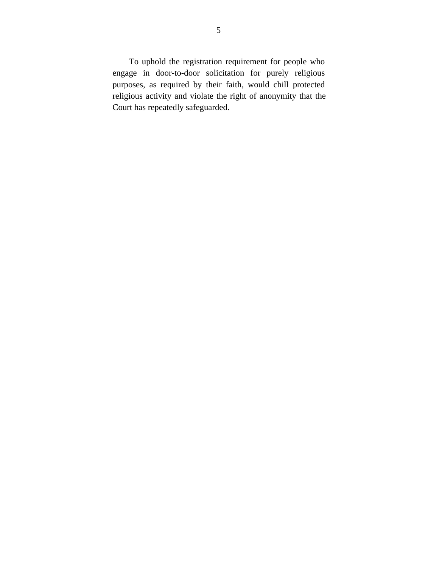To uphold the registration requirement for people who engage in door-to-door solicitation for purely religious purposes, as required by their faith, would chill protected religious activity and violate the right of anonymity that the Court has repeatedly safeguarded.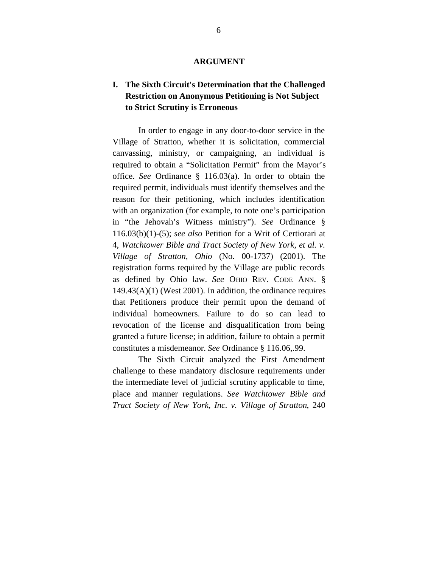#### **ARGUMENT**

# **I. The Sixth Circuit's Determination that the Challenged Restriction on Anonymous Petitioning is Not Subject to Strict Scrutiny is Erroneous**

In order to engage in any door-to-door service in the Village of Stratton, whether it is solicitation, commercial canvassing, ministry, or campaigning, an individual is required to obtain a "Solicitation Permit" from the Mayor's office. *See* Ordinance § 116.03(a). In order to obtain the required permit, individuals must identify themselves and the reason for their petitioning, which includes identification with an organization (for example, to note one's participation in "the Jehovah's Witness ministry"). *See* Ordinance § 116.03(b)(1)-(5); *see also* Petition for a Writ of Certiorari at 4, *Watchtower Bible and Tract Society of New York, et al. v. Village of Stratton, Ohio* (No. 00-1737) (2001). The registration forms required by the Village are public records as defined by Ohio law. *See* OHIO REV. CODE ANN. § 149.43(A)(1) (West 2001). In addition, the ordinance requires that Petitioners produce their permit upon the demand of individual homeowners. Failure to do so can lead to revocation of the license and disqualification from being granted a future license; in addition, failure to obtain a permit constitutes a misdemeanor. *See* Ordinance § 116.06,.99.

The Sixth Circuit analyzed the First Amendment challenge to these mandatory disclosure requirements under the intermediate level of judicial scrutiny applicable to time, place and manner regulations. *See Watchtower Bible and Tract Society of New York, Inc. v. Village of Stratton*, 240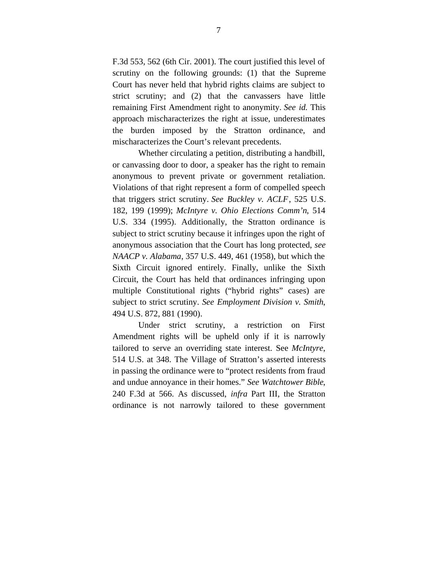F.3d 553, 562 (6th Cir. 2001). The court justified this level of scrutiny on the following grounds: (1) that the Supreme Court has never held that hybrid rights claims are subject to strict scrutiny; and (2) that the canvassers have little remaining First Amendment right to anonymity. *See id.* This approach mischaracterizes the right at issue, underestimates the burden imposed by the Stratton ordinance, and mischaracterizes the Court's relevant precedents.

Whether circulating a petition, distributing a handbill, or canvassing door to door, a speaker has the right to remain anonymous to prevent private or government retaliation. Violations of that right represent a form of compelled speech that triggers strict scrutiny. *See Buckley v. ACLF*, 525 U.S. 182, 199 (1999); *McIntyre v. Ohio Elections Comm'n*, 514 U.S. 334 (1995). Additionally, the Stratton ordinance is subject to strict scrutiny because it infringes upon the right of anonymous association that the Court has long protected, *see NAACP v. Alabama*, 357 U.S. 449, 461 (1958), but which the Sixth Circuit ignored entirely. Finally, unlike the Sixth Circuit, the Court has held that ordinances infringing upon multiple Constitutional rights ("hybrid rights" cases) are subject to strict scrutiny. *See Employment Division v. Smith*, 494 U.S. 872, 881 (1990).

Under strict scrutiny, a restriction on First Amendment rights will be upheld only if it is narrowly tailored to serve an overriding state interest. See *McIntyre*, 514 U.S. at 348. The Village of Stratton's asserted interests in passing the ordinance were to "protect residents from fraud and undue annoyance in their homes." *See Watchtower Bible*, 240 F.3d at 566. As discussed, *infra* Part III, the Stratton ordinance is not narrowly tailored to these government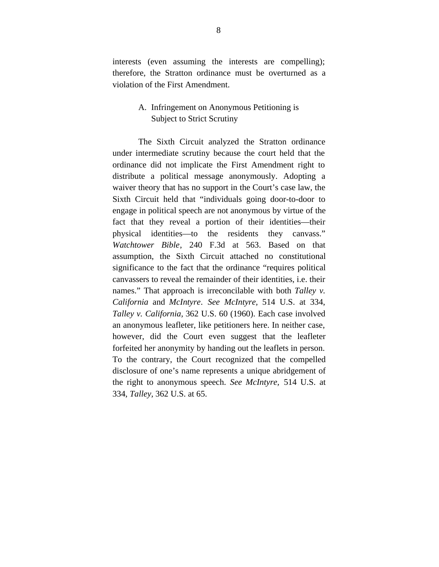interests (even assuming the interests are compelling); therefore, the Stratton ordinance must be overturned as a violation of the First Amendment.

## A. Infringement on Anonymous Petitioning is Subject to Strict Scrutiny

The Sixth Circuit analyzed the Stratton ordinance under intermediate scrutiny because the court held that the ordinance did not implicate the First Amendment right to distribute a political message anonymously. Adopting a waiver theory that has no support in the Court's case law, the Sixth Circuit held that "individuals going door-to-door to engage in political speech are not anonymous by virtue of the fact that they reveal a portion of their identities—their physical identities––to the residents they canvass." *Watchtower Bible*, 240 F.3d at 563. Based on that assumption, the Sixth Circuit attached no constitutional significance to the fact that the ordinance "requires political canvassers to reveal the remainder of their identities, i.e. their names." That approach is irreconcilable with both *Talley v. California* and *McIntyre*. *See McIntyre,* 514 U.S. at 334, *Talley v. California,* 362 U.S. 60 (1960). Each case involved an anonymous leafleter, like petitioners here. In neither case, however, did the Court even suggest that the leafleter forfeited her anonymity by handing out the leaflets in person. To the contrary, the Court recognized that the compelled disclosure of one's name represents a unique abridgement of the right to anonymous speech. *See McIntyre,* 514 U.S. at 334, *Talley,* 362 U.S. at 65.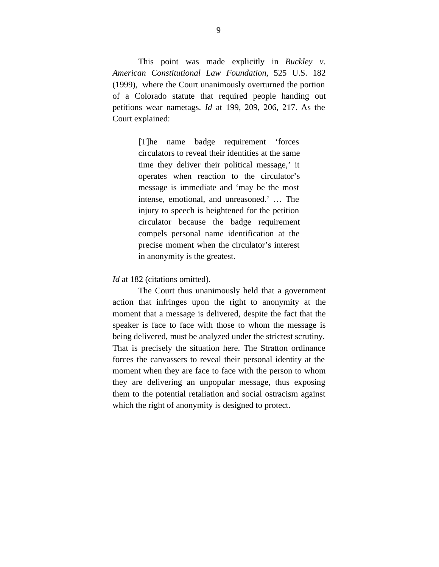This point was made explicitly in *Buckley v. American Constitutional Law Foundation,* 525 U.S. 182 (1999), where the Court unanimously overturned the portion of a Colorado statute that required people handing out petitions wear nametags. *Id* at 199, 209, 206, 217. As the Court explained:

> [T]he name badge requirement 'forces circulators to reveal their identities at the same time they deliver their political message,' it operates when reaction to the circulator's message is immediate and 'may be the most intense, emotional, and unreasoned.' … The injury to speech is heightened for the petition circulator because the badge requirement compels personal name identification at the precise moment when the circulator's interest in anonymity is the greatest.

### *Id* at 182 (citations omitted).

The Court thus unanimously held that a government action that infringes upon the right to anonymity at the moment that a message is delivered, despite the fact that the speaker is face to face with those to whom the message is being delivered, must be analyzed under the strictest scrutiny. That is precisely the situation here. The Stratton ordinance forces the canvassers to reveal their personal identity at the moment when they are face to face with the person to whom they are delivering an unpopular message, thus exposing them to the potential retaliation and social ostracism against which the right of anonymity is designed to protect.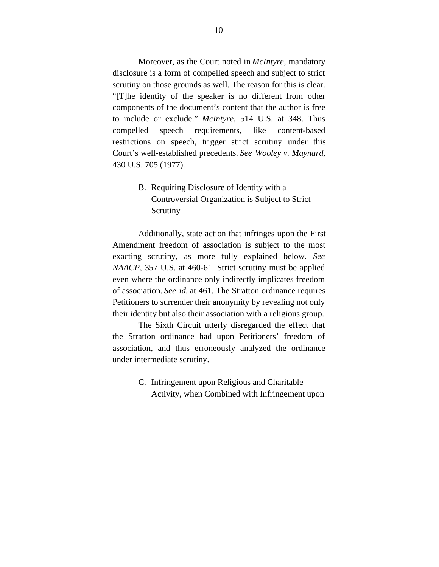Moreover, as the Court noted in *McIntyre*, mandatory disclosure is a form of compelled speech and subject to strict scrutiny on those grounds as well. The reason for this is clear. "[T]he identity of the speaker is no different from other components of the document's content that the author is free to include or exclude." *McIntyre*, 514 U.S. at 348. Thus compelled speech requirements, like content-based restrictions on speech, trigger strict scrutiny under this Court's well-established precedents. *See Wooley v. Maynard*, 430 U.S. 705 (1977).

> B. Requiring Disclosure of Identity with a Controversial Organization is Subject to Strict Scrutiny

Additionally, state action that infringes upon the First Amendment freedom of association is subject to the most exacting scrutiny, as more fully explained below. *See NAACP,* 357 U.S. at 460-61. Strict scrutiny must be applied even where the ordinance only indirectly implicates freedom of association. *See id*. at 461. The Stratton ordinance requires Petitioners to surrender their anonymity by revealing not only their identity but also their association with a religious group.

The Sixth Circuit utterly disregarded the effect that the Stratton ordinance had upon Petitioners' freedom of association, and thus erroneously analyzed the ordinance under intermediate scrutiny.

> C. Infringement upon Religious and Charitable Activity, when Combined with Infringement upon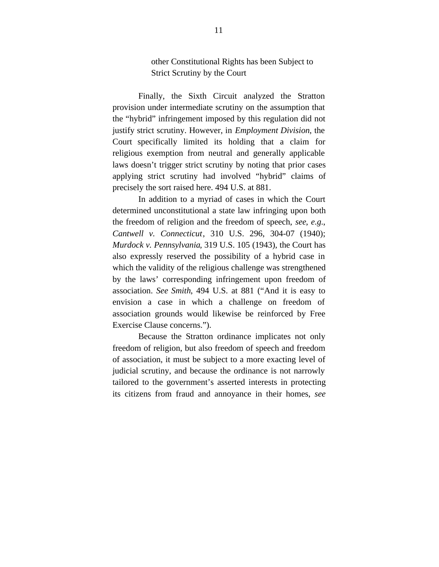other Constitutional Rights has been Subject to Strict Scrutiny by the Court

Finally, the Sixth Circuit analyzed the Stratton provision under intermediate scrutiny on the assumption that the "hybrid" infringement imposed by this regulation did not justify strict scrutiny. However, in *Employment Division*, the Court specifically limited its holding that a claim for religious exemption from neutral and generally applicable laws doesn't trigger strict scrutiny by noting that prior cases applying strict scrutiny had involved "hybrid" claims of precisely the sort raised here. 494 U.S. at 881.

In addition to a myriad of cases in which the Court determined unconstitutional a state law infringing upon both the freedom of religion and the freedom of speech, *see*, *e.g.*, *Cantwell v. Connecticut*, 310 U.S. 296, 304-07 (1940); *Murdock v. Pennsylvania*, 319 U.S. 105 (1943), the Court has also expressly reserved the possibility of a hybrid case in which the validity of the religious challenge was strengthened by the laws' corresponding infringement upon freedom of association. *See Smith*, 494 U.S. at 881 ("And it is easy to envision a case in which a challenge on freedom of association grounds would likewise be reinforced by Free Exercise Clause concerns.").

Because the Stratton ordinance implicates not only freedom of religion, but also freedom of speech and freedom of association, it must be subject to a more exacting level of judicial scrutiny, and because the ordinance is not narrowly tailored to the government's asserted interests in protecting its citizens from fraud and annoyance in their homes, *see*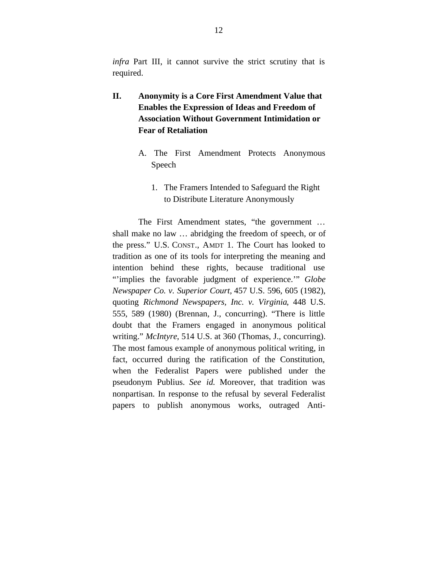*infra* Part III, it cannot survive the strict scrutiny that is required.

- **II. Anonymity is a Core First Amendment Value that Enables the Expression of Ideas and Freedom of Association Without Government Intimidation or Fear of Retaliation**
	- A. The First Amendment Protects Anonymous Speech
		- 1. The Framers Intended to Safeguard the Right to Distribute Literature Anonymously

The First Amendment states, "the government … shall make no law … abridging the freedom of speech, or of the press." U.S. CONST., AMDT 1. The Court has looked to tradition as one of its tools for interpreting the meaning and intention behind these rights, because traditional use "'implies the favorable judgment of experience.'" *Globe Newspaper Co. v. Superior Court,* 457 U.S. 596, 605 (1982), quoting *Richmond Newspapers, Inc. v. Virginia*, 448 U.S. 555, 589 (1980) (Brennan, J., concurring). "There is little doubt that the Framers engaged in anonymous political writing." *McIntyre*, 514 U.S. at 360 (Thomas, J., concurring). The most famous example of anonymous political writing, in fact, occurred during the ratification of the Constitution, when the Federalist Papers were published under the pseudonym Publius. *See id*. Moreover, that tradition was nonpartisan. In response to the refusal by several Federalist papers to publish anonymous works, outraged Anti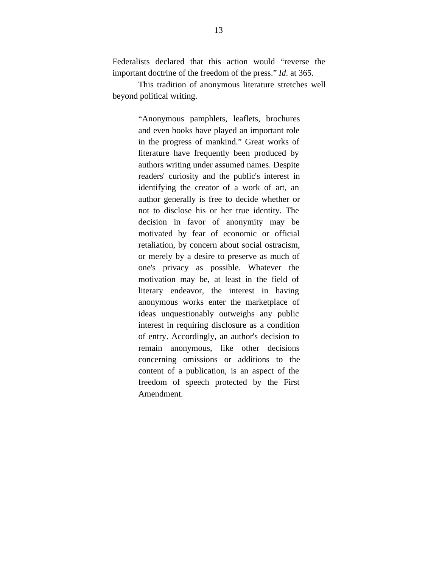Federalists declared that this action would "reverse the important doctrine of the freedom of the press." *Id*. at 365.

This tradition of anonymous literature stretches well beyond political writing.

> "Anonymous pamphlets, leaflets, brochures and even books have played an important role in the progress of mankind." Great works of literature have frequently been produced by authors writing under assumed names. Despite readers' curiosity and the public's interest in identifying the creator of a work of art, an author generally is free to decide whether or not to disclose his or her true identity. The decision in favor of anonymity may be motivated by fear of economic or official retaliation, by concern about social ostracism, or merely by a desire to preserve as much of one's privacy as possible. Whatever the motivation may be, at least in the field of literary endeavor, the interest in having anonymous works enter the marketplace of ideas unquestionably outweighs any public interest in requiring disclosure as a condition of entry. Accordingly, an author's decision to remain anonymous, like other decisions concerning omissions or additions to the content of a publication, is an aspect of the freedom of speech protected by the First Amendment.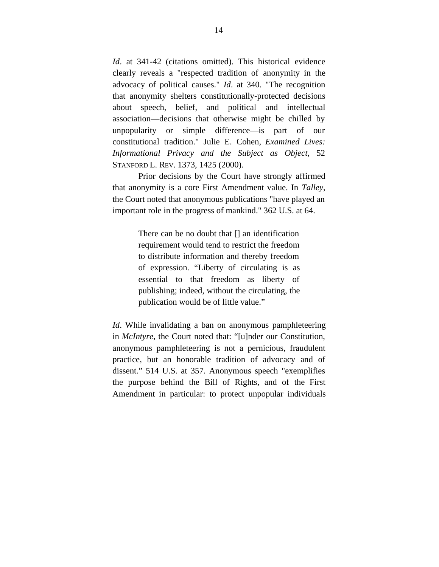*Id*. at 341-42 (citations omitted). This historical evidence clearly reveals a "respected tradition of anonymity in the advocacy of political causes." *Id*. at 340. "The recognition that anonymity shelters constitutionally-protected decisions about speech, belief, and political and intellectual association—decisions that otherwise might be chilled by unpopularity or simple difference—is part of our constitutional tradition." Julie E. Cohen, *Examined Lives: Informational Privacy and the Subject as Object*, 52 STANFORD L. REV. 1373, 1425 (2000).

Prior decisions by the Court have strongly affirmed that anonymity is a core First Amendment value. In *Talley*, the Court noted that anonymous publications "have played an important role in the progress of mankind." 362 U.S. at 64.

> There can be no doubt that [] an identification requirement would tend to restrict the freedom to distribute information and thereby freedom of expression. "Liberty of circulating is as essential to that freedom as liberty of publishing; indeed, without the circulating, the publication would be of little value."

*Id*. While invalidating a ban on anonymous pamphleteering in *McIntyre*, the Court noted that: "[u]nder our Constitution, anonymous pamphleteering is not a pernicious, fraudulent practice, but an honorable tradition of advocacy and of dissent." 514 U.S. at 357. Anonymous speech "exemplifies the purpose behind the Bill of Rights, and of the First Amendment in particular: to protect unpopular individuals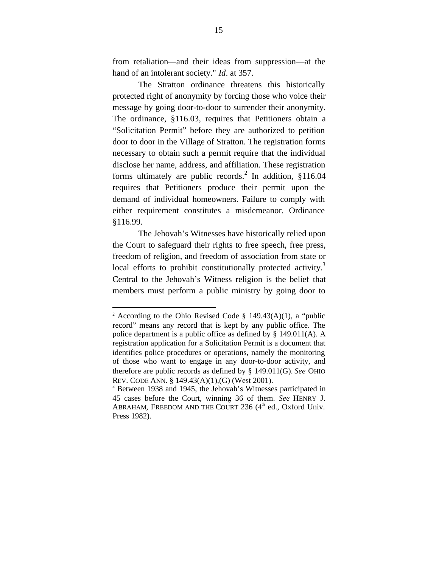from retaliation—and their ideas from suppression—at the hand of an intolerant society." *Id*. at 357.

The Stratton ordinance threatens this historically protected right of anonymity by forcing those who voice their message by going door-to-door to surrender their anonymity. The ordinance, §116.03, requires that Petitioners obtain a "Solicitation Permit" before they are authorized to petition door to door in the Village of Stratton. The registration forms necessary to obtain such a permit require that the individual disclose her name, address, and affiliation. These registration forms ultimately are public records.<sup>2</sup> In addition,  $$116.04$ requires that Petitioners produce their permit upon the demand of individual homeowners. Failure to comply with either requirement constitutes a misdemeanor. Ordinance §116.99.

The Jehovah's Witnesses have historically relied upon the Court to safeguard their rights to free speech, free press, freedom of religion, and freedom of association from state or local efforts to prohibit constitutionally protected activity.<sup>3</sup> Central to the Jehovah's Witness religion is the belief that members must perform a public ministry by going door to

1

<sup>&</sup>lt;sup>2</sup> According to the Ohio Revised Code § 149.43(A)(1), a "public record" means any record that is kept by any public office. The police department is a public office as defined by § 149.011(A). A registration application for a Solicitation Permit is a document that identifies police procedures or operations, namely the monitoring of those who want to engage in any door-to-door activity, and therefore are public records as defined by § 149.011(G). *See* OHIO REV. CODE ANN. § 149.43(A)(1),(G) (West 2001).

<sup>&</sup>lt;sup>3</sup> Between 1938 and 1945, the Jehovah's Witnesses participated in 45 cases before the Court, winning 36 of them. *See* HENRY J. ABRAHAM, FREEDOM AND THE COURT  $236$  ( $4<sup>th</sup>$  ed., Oxford Univ. Press 1982).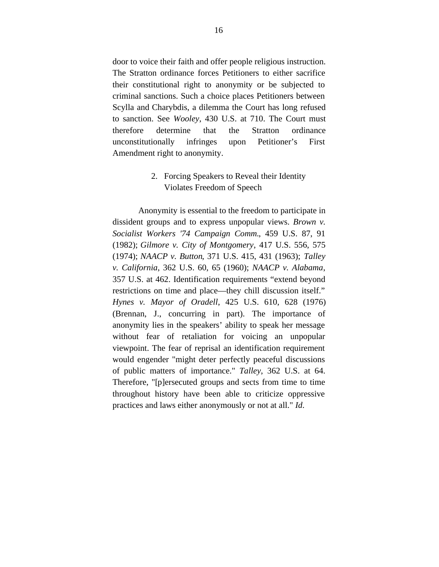door to voice their faith and offer people religious instruction. The Stratton ordinance forces Petitioners to either sacrifice their constitutional right to anonymity or be subjected to criminal sanctions. Such a choice places Petitioners between Scylla and Charybdis, a dilemma the Court has long refused to sanction. See *Wooley*, 430 U.S. at 710. The Court must therefore determine that the Stratton ordinance unconstitutionally infringes upon Petitioner's First Amendment right to anonymity.

### 2. Forcing Speakers to Reveal their Identity Violates Freedom of Speech

Anonymity is essential to the freedom to participate in dissident groups and to express unpopular views. *Brown v. Socialist Workers '74 Campaign Comm.*, 459 U.S. 87, 91 (1982); *Gilmore v. City of Montgomery*, 417 U.S. 556, 575 (1974); *NAACP v. Button*, 371 U.S. 415, 431 (1963); *Talley v. California*, 362 U.S. 60, 65 (1960); *NAACP v. Alabama*, 357 U.S. at 462. Identification requirements "extend beyond restrictions on time and place—they chill discussion itself." *Hynes v. Mayor of Oradell*, 425 U.S. 610, 628 (1976) (Brennan, J., concurring in part). The importance of anonymity lies in the speakers' ability to speak her message without fear of retaliation for voicing an unpopular viewpoint. The fear of reprisal an identification requirement would engender "might deter perfectly peaceful discussions of public matters of importance." *Talley*, 362 U.S. at 64. Therefore, "[p]ersecuted groups and sects from time to time throughout history have been able to criticize oppressive practices and laws either anonymously or not at all." *Id*.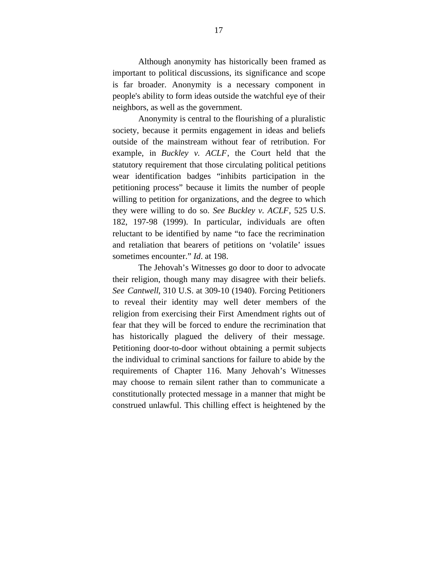Although anonymity has historically been framed as important to political discussions, its significance and scope is far broader. Anonymity is a necessary component in people's ability to form ideas outside the watchful eye of their neighbors, as well as the government.

Anonymity is central to the flourishing of a pluralistic society, because it permits engagement in ideas and beliefs outside of the mainstream without fear of retribution. For example, in *Buckley v. ACLF*, the Court held that the statutory requirement that those circulating political petitions wear identification badges "inhibits participation in the petitioning process" because it limits the number of people willing to petition for organizations, and the degree to which they were willing to do so. *See Buckley v. ACLF*, 525 U.S. 182, 197-98 (1999). In particular, individuals are often reluctant to be identified by name "to face the recrimination and retaliation that bearers of petitions on 'volatile' issues sometimes encounter." *Id*. at 198.

The Jehovah's Witnesses go door to door to advocate their religion, though many may disagree with their beliefs. *See Cantwell*, 310 U.S. at 309-10 (1940). Forcing Petitioners to reveal their identity may well deter members of the religion from exercising their First Amendment rights out of fear that they will be forced to endure the recrimination that has historically plagued the delivery of their message. Petitioning door-to-door without obtaining a permit subjects the individual to criminal sanctions for failure to abide by the requirements of Chapter 116. Many Jehovah's Witnesses may choose to remain silent rather than to communicate a constitutionally protected message in a manner that might be construed unlawful. This chilling effect is heightened by the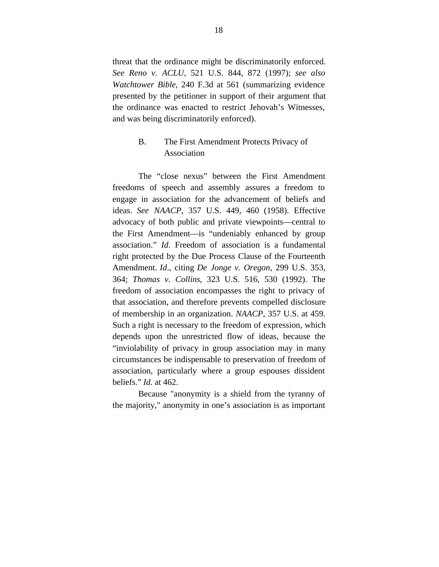threat that the ordinance might be discriminatorily enforced. *See Reno v. ACLU,* 521 U.S. 844, 872 (1997); *see also Watchtower Bible*, 240 F.3d at 561 (summarizing evidence presented by the petitioner in support of their argument that the ordinance was enacted to restrict Jehovah's Witnesses, and was being discriminatorily enforced).

## B. The First Amendment Protects Privacy of Association

The "close nexus" between the First Amendment freedoms of speech and assembly assures a freedom to engage in association for the advancement of beliefs and ideas. *See NAACP*, 357 U.S. 449, 460 (1958). Effective advocacy of both public and private viewpoints—central to the First Amendment—is "undeniably enhanced by group association." *Id*. Freedom of association is a fundamental right protected by the Due Process Clause of the Fourteenth Amendment. *Id*., citing *De Jonge v. Oregon*, 299 U.S. 353, 364; *Thomas v. Collins*, 323 U.S. 516, 530 (1992). The freedom of association encompasses the right to privacy of that association, and therefore prevents compelled disclosure of membership in an organization. *NAACP*, 357 U.S. at 459. Such a right is necessary to the freedom of expression, which depends upon the unrestricted flow of ideas, because the "inviolability of privacy in group association may in many circumstances be indispensable to preservation of freedom of association, particularly where a group espouses dissident beliefs." *Id*. at 462.

Because "anonymity is a shield from the tyranny of the majority," anonymity in one's association is as important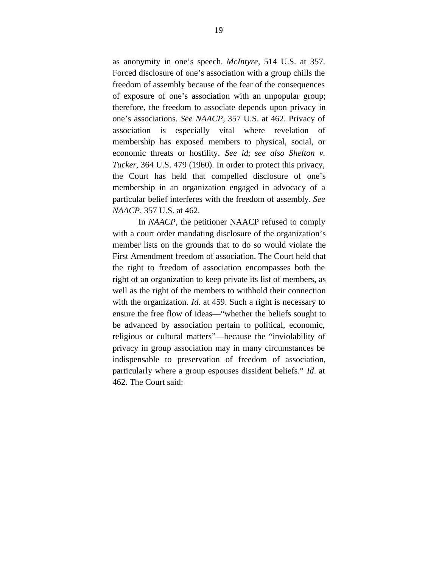as anonymity in one's speech. *McIntyre*, 514 U.S. at 357. Forced disclosure of one's association with a group chills the freedom of assembly because of the fear of the consequences of exposure of one's association with an unpopular group; therefore, the freedom to associate depends upon privacy in one's associations. *See NAACP*, 357 U.S. at 462. Privacy of association is especially vital where revelation of membership has exposed members to physical, social, or economic threats or hostility. *See id*; *see also Shelton v. Tucker*, 364 U.S. 479 (1960). In order to protect this privacy, the Court has held that compelled disclosure of one's membership in an organization engaged in advocacy of a particular belief interferes with the freedom of assembly. *See NAACP,* 357 U.S. at 462.

In *NAACP*, the petitioner NAACP refused to comply with a court order mandating disclosure of the organization's member lists on the grounds that to do so would violate the First Amendment freedom of association. The Court held that the right to freedom of association encompasses both the right of an organization to keep private its list of members, as well as the right of the members to withhold their connection with the organization. *Id*. at 459. Such a right is necessary to ensure the free flow of ideas––"whether the beliefs sought to be advanced by association pertain to political, economic, religious or cultural matters"––because the "inviolability of privacy in group association may in many circumstances be indispensable to preservation of freedom of association, particularly where a group espouses dissident beliefs." *Id*. at 462. The Court said: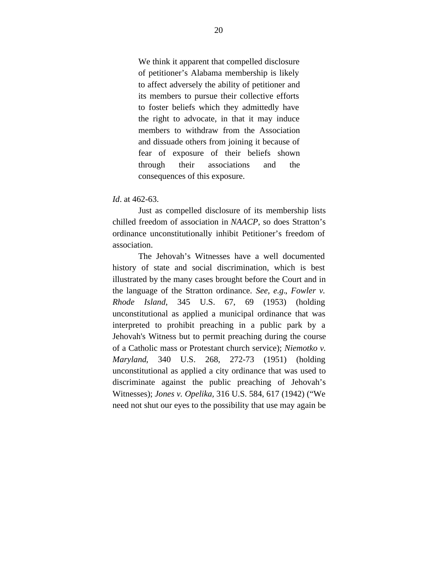We think it apparent that compelled disclosure of petitioner's Alabama membership is likely to affect adversely the ability of petitioner and its members to pursue their collective efforts to foster beliefs which they admittedly have the right to advocate, in that it may induce members to withdraw from the Association and dissuade others from joining it because of fear of exposure of their beliefs shown through their associations and the consequences of this exposure.

### *Id*. at 462-63.

Just as compelled disclosure of its membership lists chilled freedom of association in *NAACP*, so does Stratton's ordinance unconstitutionally inhibit Petitioner's freedom of association.

The Jehovah's Witnesses have a well documented history of state and social discrimination, which is best illustrated by the many cases brought before the Court and in the language of the Stratton ordinance. *See, e.g.*, *Fowler v. Rhode Island*, 345 U.S. 67, 69 (1953) (holding unconstitutional as applied a municipal ordinance that was interpreted to prohibit preaching in a public park by a Jehovah's Witness but to permit preaching during the course of a Catholic mass or Protestant church service); *Niemotko v. Maryland*, 340 U.S. 268, 272-73 (1951) (holding unconstitutional as applied a city ordinance that was used to discriminate against the public preaching of Jehovah's Witnesses); *Jones v. Opelika,* 316 U.S. 584, 617 (1942) ("We need not shut our eyes to the possibility that use may again be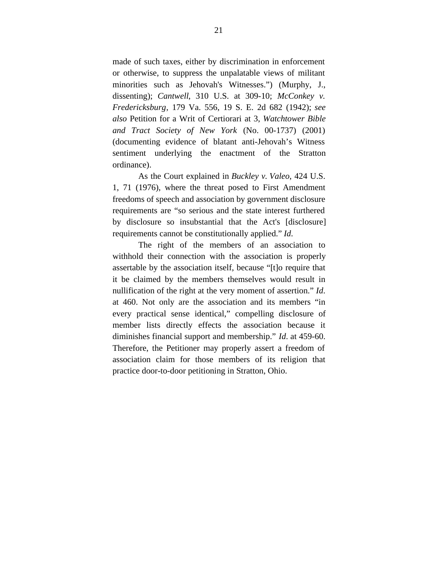made of such taxes, either by discrimination in enforcement or otherwise, to suppress the unpalatable views of militant minorities such as Jehovah's Witnesses.") (Murphy, J., dissenting); *Cantwell*, 310 U.S. at 309-10; *McConkey v. Fredericksburg*, 179 Va. 556, 19 S. E. 2d 682 (1942); *see also* Petition for a Writ of Certiorari at 3, *Watchtower Bible and Tract Society of New York* (No. 00-1737) (2001) (documenting evidence of blatant anti-Jehovah's Witness sentiment underlying the enactment of the Stratton ordinance).

As the Court explained in *Buckley v. Valeo*, 424 U.S. 1, 71 (1976), where the threat posed to First Amendment freedoms of speech and association by government disclosure requirements are "so serious and the state interest furthered by disclosure so insubstantial that the Act's [disclosure] requirements cannot be constitutionally applied." *Id*.

The right of the members of an association to withhold their connection with the association is properly assertable by the association itself, because "[t]o require that it be claimed by the members themselves would result in nullification of the right at the very moment of assertion." *Id*. at 460. Not only are the association and its members "in every practical sense identical," compelling disclosure of member lists directly effects the association because it diminishes financial support and membership." *Id*. at 459-60. Therefore, the Petitioner may properly assert a freedom of association claim for those members of its religion that practice door-to-door petitioning in Stratton, Ohio.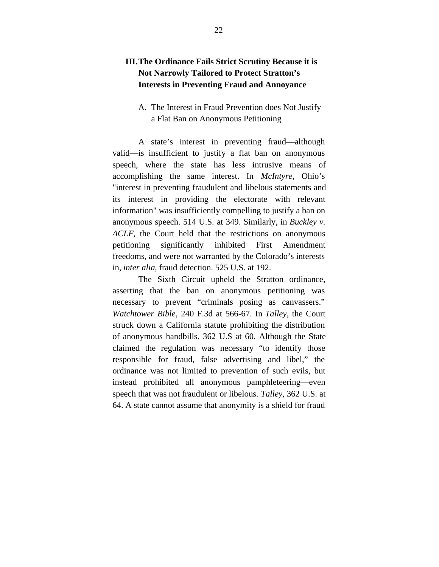# **III.The Ordinance Fails Strict Scrutiny Because it is Not Narrowly Tailored to Protect Stratton's Interests in Preventing Fraud and Annoyance**

### A. The Interest in Fraud Prevention does Not Justify a Flat Ban on Anonymous Petitioning

A state's interest in preventing fraud—although valid—is insufficient to justify a flat ban on anonymous speech, where the state has less intrusive means of accomplishing the same interest. In *McIntyre*, Ohio's "interest in preventing fraudulent and libelous statements and its interest in providing the electorate with relevant information" was insufficiently compelling to justify a ban on anonymous speech. 514 U.S. at 349. Similarly, in *Buckley v. ACLF*, the Court held that the restrictions on anonymous petitioning significantly inhibited First Amendment freedoms, and were not warranted by the Colorado's interests in, *inter alia*, fraud detection. 525 U.S. at 192.

The Sixth Circuit upheld the Stratton ordinance, asserting that the ban on anonymous petitioning was necessary to prevent "criminals posing as canvassers." *Watchtower Bible*, 240 F.3d at 566-67. In *Talley*, the Court struck down a California statute prohibiting the distribution of anonymous handbills. 362 U.S at 60. Although the State claimed the regulation was necessary "to identify those responsible for fraud, false advertising and libel," the ordinance was not limited to prevention of such evils, but instead prohibited all anonymous pamphleteering—even speech that was not fraudulent or libelous. *Talley*, 362 U.S. at 64. A state cannot assume that anonymity is a shield for fraud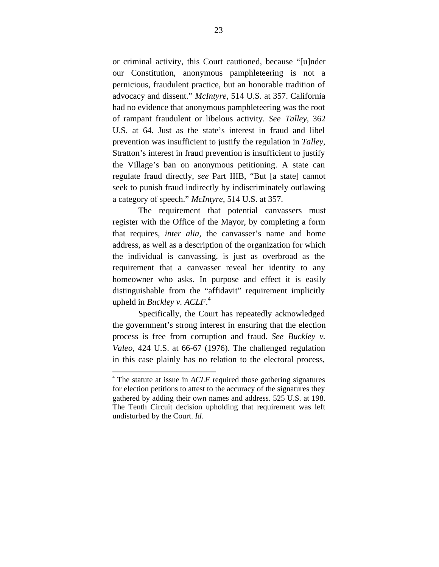or criminal activity, this Court cautioned, because "[u]nder our Constitution, anonymous pamphleteering is not a pernicious, fraudulent practice, but an honorable tradition of advocacy and dissent." *McIntyre*, 514 U.S. at 357. California had no evidence that anonymous pamphleteering was the root of rampant fraudulent or libelous activity. *See Talley*, 362 U.S. at 64. Just as the state's interest in fraud and libel prevention was insufficient to justify the regulation in *Talley*, Stratton's interest in fraud prevention is insufficient to justify the Village's ban on anonymous petitioning. A state can regulate fraud directly, *see* Part IIIB, "But [a state] cannot seek to punish fraud indirectly by indiscriminately outlawing a category of speech." *McIntyre*, 514 U.S. at 357.

The requirement that potential canvassers must register with the Office of the Mayor, by completing a form that requires, *inter alia*, the canvasser's name and home address, as well as a description of the organization for which the individual is canvassing, is just as overbroad as the requirement that a canvasser reveal her identity to any homeowner who asks. In purpose and effect it is easily distinguishable from the "affidavit" requirement implicitly upheld in *Buckley v. ACLF*. 4

Specifically, the Court has repeatedly acknowledged the government's strong interest in ensuring that the election process is free from corruption and fraud. *See Buckley v. Valeo*, 424 U.S. at 66-67 (1976). The challenged regulation in this case plainly has no relation to the electoral process,

1

<sup>&</sup>lt;sup>4</sup> The statute at issue in *ACLF* required those gathering signatures for election petitions to attest to the accuracy of the signatures they gathered by adding their own names and address. 525 U.S. at 198. The Tenth Circuit decision upholding that requirement was left undisturbed by the Court. *Id.*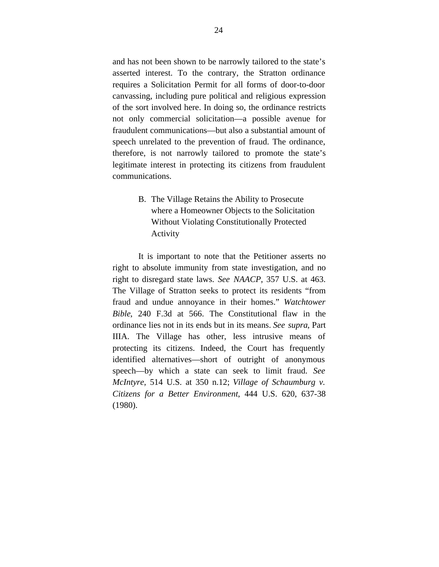and has not been shown to be narrowly tailored to the state's asserted interest. To the contrary, the Stratton ordinance requires a Solicitation Permit for all forms of door-to-door canvassing, including pure political and religious expression of the sort involved here. In doing so, the ordinance restricts not only commercial solicitation—a possible avenue for fraudulent communications—but also a substantial amount of speech unrelated to the prevention of fraud. The ordinance, therefore, is not narrowly tailored to promote the state's legitimate interest in protecting its citizens from fraudulent communications.

> B. The Village Retains the Ability to Prosecute where a Homeowner Objects to the Solicitation Without Violating Constitutionally Protected Activity

It is important to note that the Petitioner asserts no right to absolute immunity from state investigation, and no right to disregard state laws. *See NAACP*, 357 U.S. at 463. The Village of Stratton seeks to protect its residents "from fraud and undue annoyance in their homes." *Watchtower Bible*, 240 F.3d at 566. The Constitutional flaw in the ordinance lies not in its ends but in its means. *See supra*, Part IIIA. The Village has other, less intrusive means of protecting its citizens. Indeed, the Court has frequently identified alternatives—short of outright of anonymous speech—by which a state can seek to limit fraud. *See McIntyre*, 514 U.S. at 350 n.12; *Village of Schaumburg v. Citizens for a Better Environment*, 444 U.S. 620, 637-38 (1980).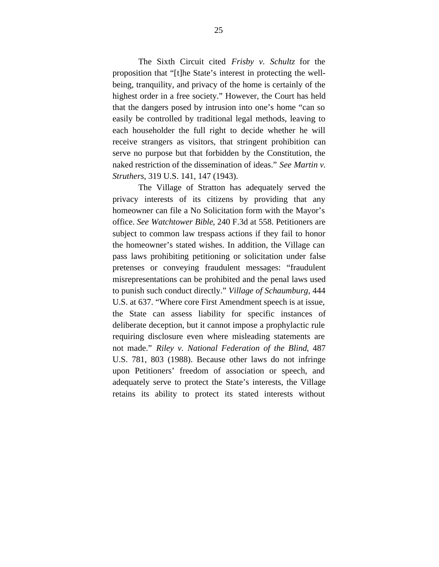The Sixth Circuit cited *Frisby v. Schultz* for the proposition that "[t]he State's interest in protecting the wellbeing, tranquility, and privacy of the home is certainly of the highest order in a free society." However, the Court has held that the dangers posed by intrusion into one's home "can so easily be controlled by traditional legal methods, leaving to each householder the full right to decide whether he will receive strangers as visitors, that stringent prohibition can serve no purpose but that forbidden by the Constitution, the naked restriction of the dissemination of ideas." *See Martin v. Struthers*, 319 U.S. 141, 147 (1943).

The Village of Stratton has adequately served the privacy interests of its citizens by providing that any homeowner can file a No Solicitation form with the Mayor's office. *See Watchtower Bible*, 240 F.3d at 558. Petitioners are subject to common law trespass actions if they fail to honor the homeowner's stated wishes. In addition, the Village can pass laws prohibiting petitioning or solicitation under false pretenses or conveying fraudulent messages: "fraudulent misrepresentations can be prohibited and the penal laws used to punish such conduct directly." *Village of Schaumburg*, 444 U.S. at 637. "Where core First Amendment speech is at issue, the State can assess liability for specific instances of deliberate deception, but it cannot impose a prophylactic rule requiring disclosure even where misleading statements are not made." *Riley v. National Federation of the Blind*, 487 U.S. 781, 803 (1988). Because other laws do not infringe upon Petitioners' freedom of association or speech, and adequately serve to protect the State's interests, the Village retains its ability to protect its stated interests without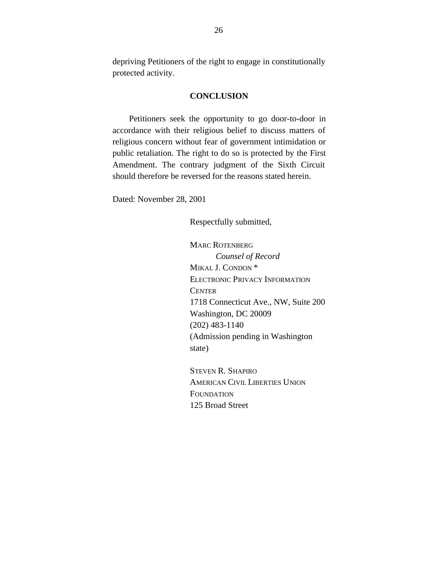depriving Petitioners of the right to engage in constitutionally protected activity.

### **CONCLUSION**

Petitioners seek the opportunity to go door-to-door in accordance with their religious belief to discuss matters of religious concern without fear of government intimidation or public retaliation. The right to do so is protected by the First Amendment. The contrary judgment of the Sixth Circuit should therefore be reversed for the reasons stated herein.

Dated: November 28, 2001

Respectfully submitted,

MARC ROTENBERG *Counsel of Record* MIKAL J. CONDON \* ELECTRONIC PRIVACY INFORMATION **CENTER** 1718 Connecticut Ave., NW, Suite 200 Washington, DC 20009 (202) 483-1140 (Admission pending in Washington state)

STEVEN R. SHAPIRO AMERICAN CIVIL LIBERTIES UNION **FOUNDATION** 125 Broad Street